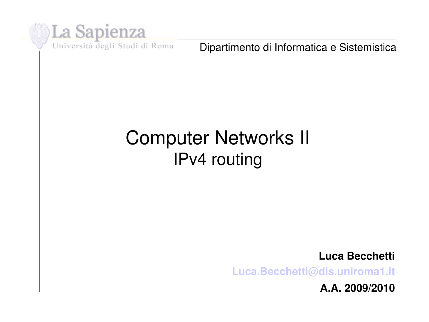

Dipartimento di Informatica e Sistemistica

#### Computer Networks II IPv4 routing

**Luca Becchetti**

**[Luca.Becchetti@dis.uniroma1.it](mailto:Luca.Becchetti@dis.uniroma1.it)**

**A.A. 2009/2010**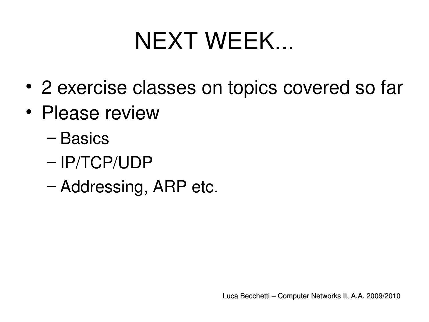### NEXT WEEK...

- 2 exercise classes on topics covered so far
- Please review
	- Basics
	- IP/TCP/UDP
	- Addressing, ARP etc.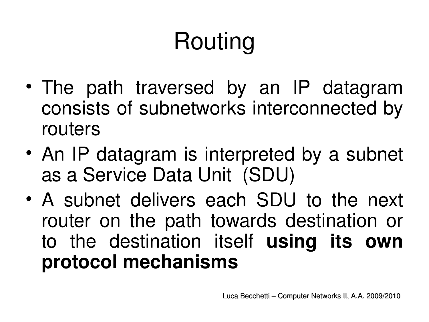# Routing

- The path traversed by an IP datagram consists of subnetworks interconnected by routers
- An IP datagram is interpreted by a subnet as a Service Data Unit (SDU)
- A subnet delivers each SDU to the next router on the path towards destination or to the destination itself **using its own protocol mechanisms**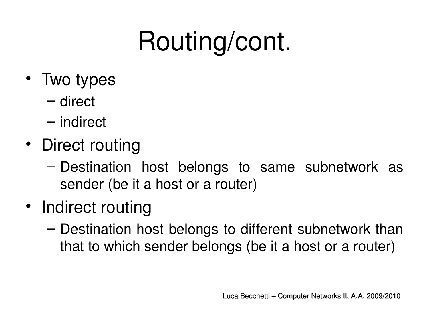# Routing/cont.

- Two types
	- direct
	- indirect
- Direct routing
	- Destination host belongs to same subnetwork as sender (be it a host or a router)
- Indirect routing
	- Destination host belongs to different subnetwork than that to which sender belongs (be it a host or a router)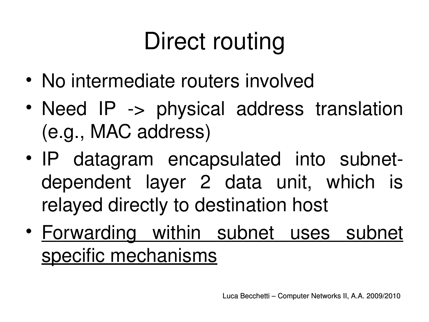# Direct routing

- No intermediate routers involved
- Need IP -> physical address translation (e.g., MAC address)
- IP datagram encapsulated into subnetdependent layer 2 data unit, which is relayed directly to destination host
- Forwarding within subnet uses subnet specific mechanisms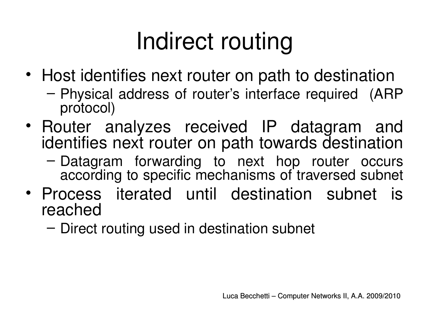## Indirect routing

- Host identifies next router on path to destination
	- Physical address of router's interface required (ARP protocol)
- Router analyzes received IP datagram and identifies next router on path towards destination
	- Datagram forwarding to next hop router occurs according to specific mechanisms of traversed subnet
- Process iterated until destination subnet is reached
	- Direct routing used in destination subnet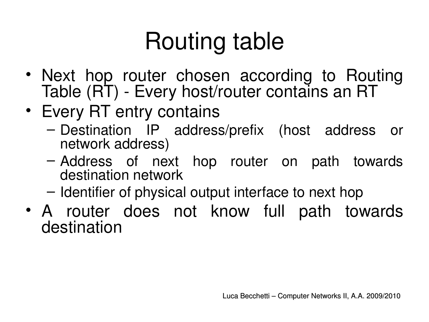# Routing table

- Next hop router chosen according to Routing Table (RT) Every host/router contains an RT
- Every RT entry contains
	- Destination IP address/prefix (host address or network address)
	- Address of next hop router on path towards destination network
	- Identifier of physical output interface to next hop
- A router does not know full path towards destination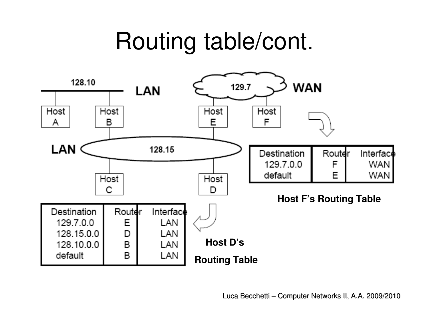### Routing table/cont.

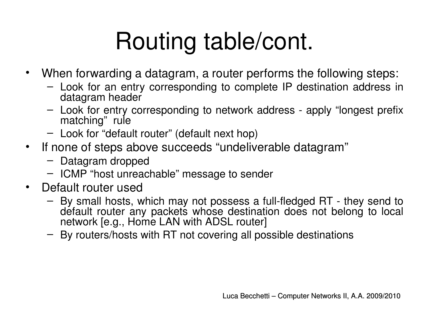## Routing table/cont.

- When forwarding a datagram, a router performs the following steps:
	- Look for an entry corresponding to complete IP destination address in datagram header
	- Look for entry corresponding to network address apply "longest prefix matching" rule
	- Look for "default router" (default next hop)
- If none of steps above succeeds "undeliverable datagram"
	- Datagram dropped
	- ICMP "host unreachable" message to sender
- Default router used
	- By small hosts, which may not possess a full-fledged RT they send to default router any packets whose destination does not belong to local network [e.g., Home LAN with ADSL router]
	- By routers/hosts with RT not covering all possible destinations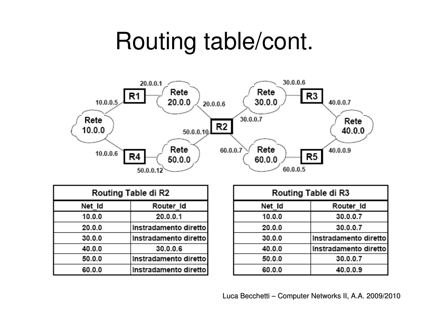### Routing table/cont.



| Routing Table di R2 |                       |
|---------------------|-----------------------|
| Net_Id              | Router Id             |
| 10.0.0              | 20.0.0.1              |
| 20.0.0              | Instradamento diretto |
| 30.0.0              | Instradamento diretto |
| 40.0.0              | 30.0.0.6              |
| 50.0.0              | Instradamento diretto |
| 60.0.0              | Instradamento diretto |

| .      |                       |
|--------|-----------------------|
| Net Id | Router Id             |
| 10.0.0 | 30.0.0.7              |
| 20.0.0 | 30.0.0.7              |
| 30.0.0 | Instradamento diretto |
| 40.0.0 | Instradamento diretto |
| 50.0.0 | 30.0.0.7              |
| 60.0.0 | 40.0.0.9              |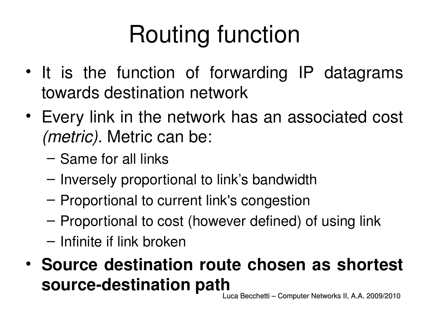# Routing function

- It is the function of forwarding IP datagrams towards destination network
- Every link in the network has an associated cost *(metric)*. Metric can be:
	- Same for all links
	- Inversely proportional to link's bandwidth
	- Proportional to current link's congestion
	- Proportional to cost (however defined) of using link
	- Infinite if link broken
- **Source destination route chosen as shortest**  source-destination path

Luca Becchetti – Computer Networks II, A.A. 2009/2010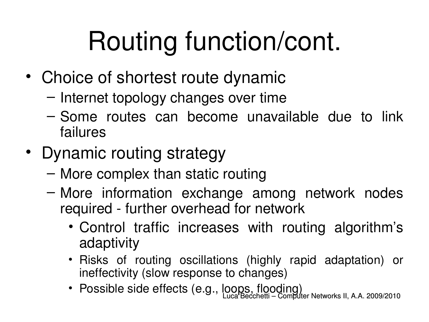# Routing function/cont.

- Choice of shortest route dynamic
	- Internet topology changes over time
	- Some routes can become unavailable due to link failures
- Dynamic routing strategy
	- More complex than static routing
	- More information exchange among network nodes required - further overhead for network
		- Control traffic increases with routing algorithm's adaptivity
		- Risks of routing oscillations (highly rapid adaptation) or ineffectivity (slow response to changes)
		- Luca Becchetti Computer Networks II, A.A. 2009/2010 • Possible side effects (e.g., loops, flooding)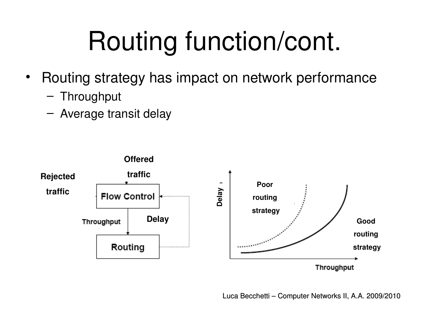# Routing function/cont.

- Routing strategy has impact on network performance
	- Throughput
	- Average transit delay



Luca Becchetti – Computer Networks II, A.A. 2009/2010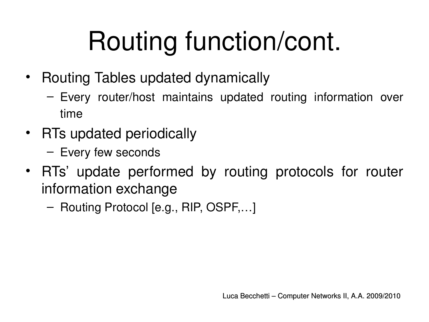# Routing function/cont.

- Routing Tables updated dynamically
	- Every router/host maintains updated routing information over time
- RTs updated periodically
	- Every few seconds
- RTs' update performed by routing protocols for router information exchange
	- Routing Protocol [e.g., RIP, OSPF,…]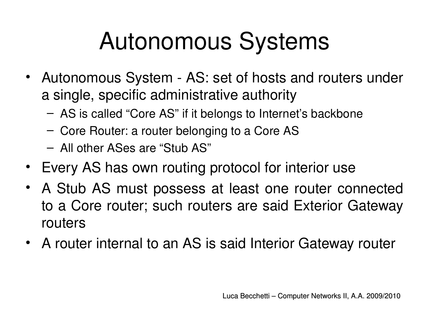## Autonomous Systems

- Autonomous System AS: set of hosts and routers under a single, specific administrative authority
	- AS is called "Core AS" if it belongs to Internet's backbone
	- Core Router: a router belonging to a Core AS
	- All other ASes are "Stub AS"
- Every AS has own routing protocol for interior use
- A Stub AS must possess at least one router connected to a Core router; such routers are said Exterior Gateway routers
- A router internal to an AS is said Interior Gateway router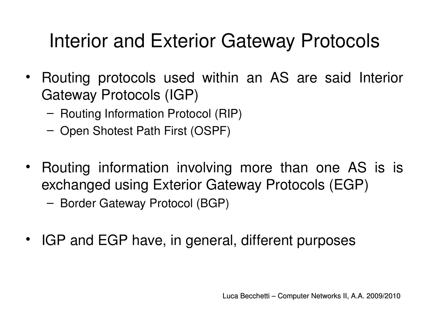### Interior and Exterior Gateway Protocols

- Routing protocols used within an AS are said Interior Gateway Protocols (IGP)
	- Routing Information Protocol (RIP)
	- Open Shotest Path First (OSPF)
- Routing information involving more than one AS is is exchanged using Exterior Gateway Protocols (EGP)

– Border Gateway Protocol (BGP)

• IGP and EGP have, in general, different purposes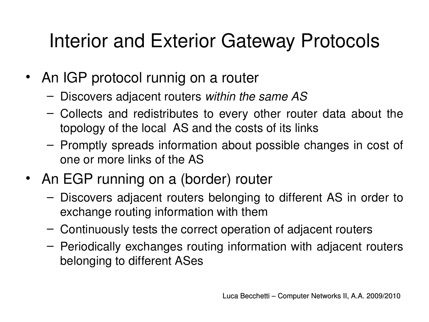### Interior and Exterior Gateway Protocols

- An IGP protocol runnig on a router
	- Discovers adjacent routers *within the same AS*
	- Collects and redistributes to every other router data about the topology of the local AS and the costs of its links
	- Promptly spreads information about possible changes in cost of one or more links of the AS
- An EGP running on a (border) router
	- Discovers adjacent routers belonging to different AS in order to exchange routing information with them
	- Continuously tests the correct operation of adjacent routers
	- Periodically exchanges routing information with adjacent routers belonging to different ASes